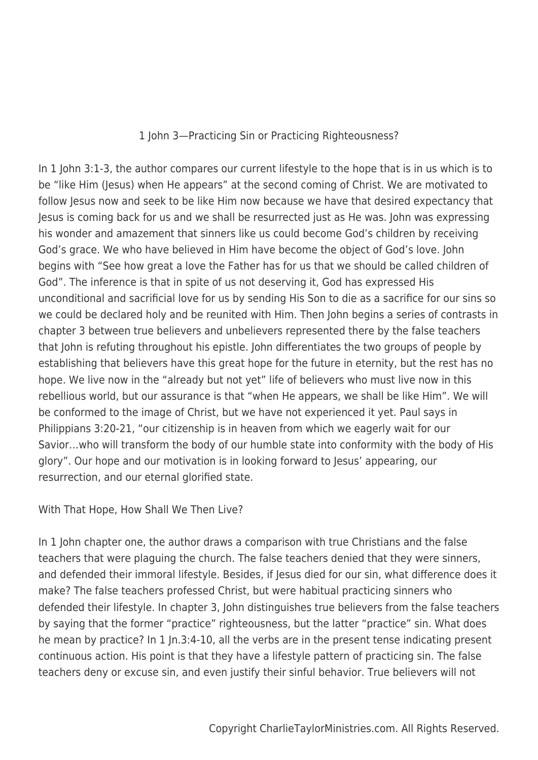1 John 3—Practicing Sin or Practicing Righteousness?

In 1 John 3:1-3, the author compares our current lifestyle to the hope that is in us which is to be "like Him (Jesus) when He appears" at the second coming of Christ. We are motivated to follow Jesus now and seek to be like Him now because we have that desired expectancy that Jesus is coming back for us and we shall be resurrected just as He was. John was expressing his wonder and amazement that sinners like us could become God's children by receiving God's grace. We who have believed in Him have become the object of God's love. John begins with "See how great a love the Father has for us that we should be called children of God". The inference is that in spite of us not deserving it, God has expressed His unconditional and sacrificial love for us by sending His Son to die as a sacrifice for our sins so we could be declared holy and be reunited with Him. Then John begins a series of contrasts in chapter 3 between true believers and unbelievers represented there by the false teachers that John is refuting throughout his epistle. John differentiates the two groups of people by establishing that believers have this great hope for the future in eternity, but the rest has no hope. We live now in the "already but not yet" life of believers who must live now in this rebellious world, but our assurance is that "when He appears, we shall be like Him". We will be conformed to the image of Christ, but we have not experienced it yet. Paul says in Philippians 3:20-21, "our citizenship is in heaven from which we eagerly wait for our Savior…who will transform the body of our humble state into conformity with the body of His glory". Our hope and our motivation is in looking forward to Jesus' appearing, our resurrection, and our eternal glorified state.

With That Hope, How Shall We Then Live?

In 1 John chapter one, the author draws a comparison with true Christians and the false teachers that were plaguing the church. The false teachers denied that they were sinners, and defended their immoral lifestyle. Besides, if Jesus died for our sin, what difference does it make? The false teachers professed Christ, but were habitual practicing sinners who defended their lifestyle. In chapter 3, John distinguishes true believers from the false teachers by saying that the former "practice" righteousness, but the latter "practice" sin. What does he mean by practice? In 1 In.3:4-10, all the verbs are in the present tense indicating present continuous action. His point is that they have a lifestyle pattern of practicing sin. The false teachers deny or excuse sin, and even justify their sinful behavior. True believers will not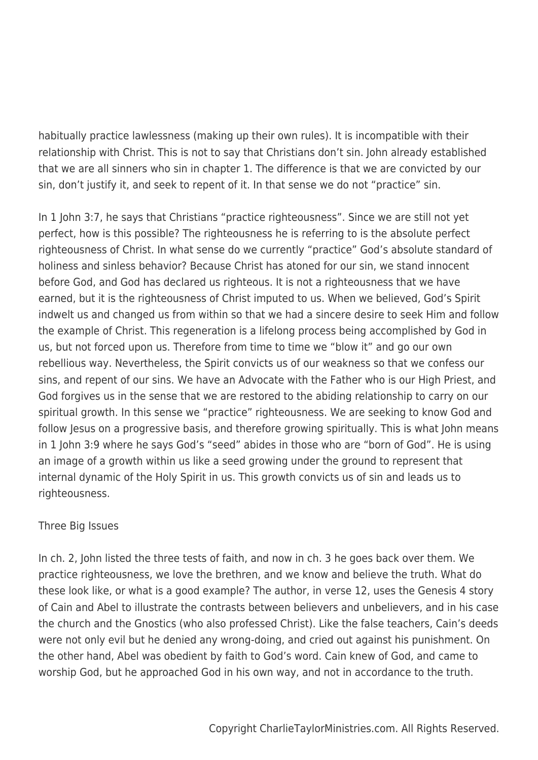habitually practice lawlessness (making up their own rules). It is incompatible with their relationship with Christ. This is not to say that Christians don't sin. John already established that we are all sinners who sin in chapter 1. The difference is that we are convicted by our sin, don't justify it, and seek to repent of it. In that sense we do not "practice" sin.

In 1 John 3:7, he says that Christians "practice righteousness". Since we are still not yet perfect, how is this possible? The righteousness he is referring to is the absolute perfect righteousness of Christ. In what sense do we currently "practice" God's absolute standard of holiness and sinless behavior? Because Christ has atoned for our sin, we stand innocent before God, and God has declared us righteous. It is not a righteousness that we have earned, but it is the righteousness of Christ imputed to us. When we believed, God's Spirit indwelt us and changed us from within so that we had a sincere desire to seek Him and follow the example of Christ. This regeneration is a lifelong process being accomplished by God in us, but not forced upon us. Therefore from time to time we "blow it" and go our own rebellious way. Nevertheless, the Spirit convicts us of our weakness so that we confess our sins, and repent of our sins. We have an Advocate with the Father who is our High Priest, and God forgives us in the sense that we are restored to the abiding relationship to carry on our spiritual growth. In this sense we "practice" righteousness. We are seeking to know God and follow Jesus on a progressive basis, and therefore growing spiritually. This is what John means in 1 John 3:9 where he says God's "seed" abides in those who are "born of God". He is using an image of a growth within us like a seed growing under the ground to represent that internal dynamic of the Holy Spirit in us. This growth convicts us of sin and leads us to righteousness.

## Three Big Issues

In ch. 2, John listed the three tests of faith, and now in ch. 3 he goes back over them. We practice righteousness, we love the brethren, and we know and believe the truth. What do these look like, or what is a good example? The author, in verse 12, uses the Genesis 4 story of Cain and Abel to illustrate the contrasts between believers and unbelievers, and in his case the church and the Gnostics (who also professed Christ). Like the false teachers, Cain's deeds were not only evil but he denied any wrong-doing, and cried out against his punishment. On the other hand, Abel was obedient by faith to God's word. Cain knew of God, and came to worship God, but he approached God in his own way, and not in accordance to the truth.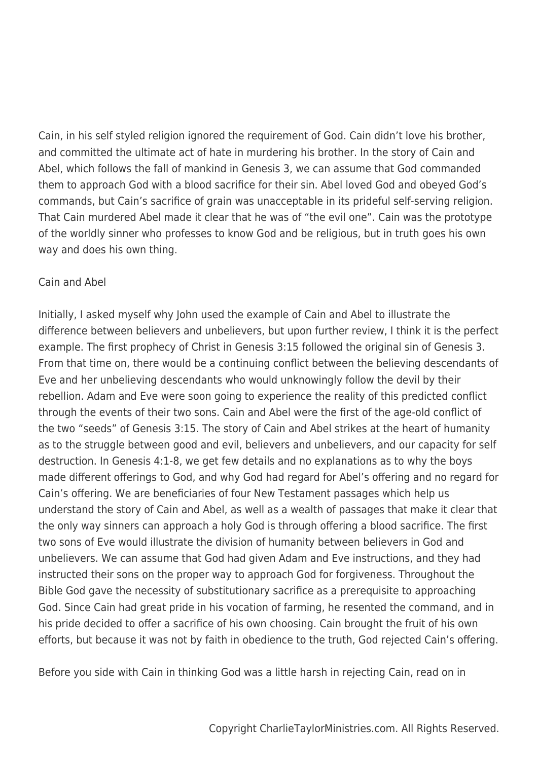Cain, in his self styled religion ignored the requirement of God. Cain didn't love his brother, and committed the ultimate act of hate in murdering his brother. In the story of Cain and Abel, which follows the fall of mankind in Genesis 3, we can assume that God commanded them to approach God with a blood sacrifice for their sin. Abel loved God and obeyed God's commands, but Cain's sacrifice of grain was unacceptable in its prideful self-serving religion. That Cain murdered Abel made it clear that he was of "the evil one". Cain was the prototype of the worldly sinner who professes to know God and be religious, but in truth goes his own way and does his own thing.

## Cain and Abel

Initially, I asked myself why John used the example of Cain and Abel to illustrate the difference between believers and unbelievers, but upon further review, I think it is the perfect example. The first prophecy of Christ in Genesis 3:15 followed the original sin of Genesis 3. From that time on, there would be a continuing conflict between the believing descendants of Eve and her unbelieving descendants who would unknowingly follow the devil by their rebellion. Adam and Eve were soon going to experience the reality of this predicted conflict through the events of their two sons. Cain and Abel were the first of the age-old conflict of the two "seeds" of Genesis 3:15. The story of Cain and Abel strikes at the heart of humanity as to the struggle between good and evil, believers and unbelievers, and our capacity for self destruction. In Genesis 4:1-8, we get few details and no explanations as to why the boys made different offerings to God, and why God had regard for Abel's offering and no regard for Cain's offering. We are beneficiaries of four New Testament passages which help us understand the story of Cain and Abel, as well as a wealth of passages that make it clear that the only way sinners can approach a holy God is through offering a blood sacrifice. The first two sons of Eve would illustrate the division of humanity between believers in God and unbelievers. We can assume that God had given Adam and Eve instructions, and they had instructed their sons on the proper way to approach God for forgiveness. Throughout the Bible God gave the necessity of substitutionary sacrifice as a prerequisite to approaching God. Since Cain had great pride in his vocation of farming, he resented the command, and in his pride decided to offer a sacrifice of his own choosing. Cain brought the fruit of his own efforts, but because it was not by faith in obedience to the truth, God rejected Cain's offering.

Before you side with Cain in thinking God was a little harsh in rejecting Cain, read on in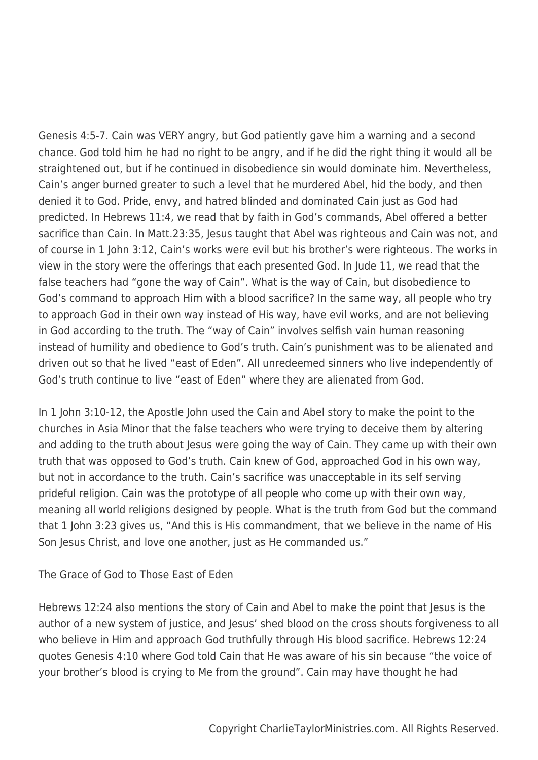Genesis 4:5-7. Cain was VERY angry, but God patiently gave him a warning and a second chance. God told him he had no right to be angry, and if he did the right thing it would all be straightened out, but if he continued in disobedience sin would dominate him. Nevertheless, Cain's anger burned greater to such a level that he murdered Abel, hid the body, and then denied it to God. Pride, envy, and hatred blinded and dominated Cain just as God had predicted. In Hebrews 11:4, we read that by faith in God's commands, Abel offered a better sacrifice than Cain. In Matt.23:35, Jesus taught that Abel was righteous and Cain was not, and of course in 1 John 3:12, Cain's works were evil but his brother's were righteous. The works in view in the story were the offerings that each presented God. In Jude 11, we read that the false teachers had "gone the way of Cain". What is the way of Cain, but disobedience to God's command to approach Him with a blood sacrifice? In the same way, all people who try to approach God in their own way instead of His way, have evil works, and are not believing in God according to the truth. The "way of Cain" involves selfish vain human reasoning instead of humility and obedience to God's truth. Cain's punishment was to be alienated and driven out so that he lived "east of Eden". All unredeemed sinners who live independently of God's truth continue to live "east of Eden" where they are alienated from God.

In 1 John 3:10-12, the Apostle John used the Cain and Abel story to make the point to the churches in Asia Minor that the false teachers who were trying to deceive them by altering and adding to the truth about Jesus were going the way of Cain. They came up with their own truth that was opposed to God's truth. Cain knew of God, approached God in his own way, but not in accordance to the truth. Cain's sacrifice was unacceptable in its self serving prideful religion. Cain was the prototype of all people who come up with their own way, meaning all world religions designed by people. What is the truth from God but the command that 1 John 3:23 gives us, "And this is His commandment, that we believe in the name of His Son Jesus Christ, and love one another, just as He commanded us."

The Grace of God to Those East of Eden

Hebrews 12:24 also mentions the story of Cain and Abel to make the point that Jesus is the author of a new system of justice, and Jesus' shed blood on the cross shouts forgiveness to all who believe in Him and approach God truthfully through His blood sacrifice. Hebrews 12:24 quotes Genesis 4:10 where God told Cain that He was aware of his sin because "the voice of your brother's blood is crying to Me from the ground". Cain may have thought he had